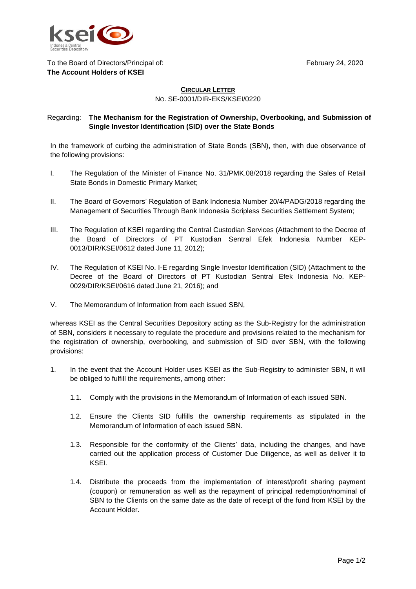February 24, 2020



## To the Board of Directors/Principal of: **The Account Holders of KSEI**

## **CIRCULAR LETTER** NO. SE-0001/DIR-EKS/KSEI/0220

## Regarding: **The Mechanism for the Registration of Ownership, Overbooking, and Submission of Single Investor Identification (SID) over the State Bonds**

In the framework of curbing the administration of State Bonds (SBN), then, with due observance of the following provisions:

- I. The Regulation of the Minister of Finance No. 31/PMK.08/2018 regarding the Sales of Retail State Bonds in Domestic Primary Market;
- II. The Board of Governors' Regulation of Bank Indonesia Number 20/4/PADG/2018 regarding the Management of Securities Through Bank Indonesia Scripless Securities Settlement System;
- III. The Regulation of KSEI regarding the Central Custodian Services (Attachment to the Decree of the Board of Directors of PT Kustodian Sentral Efek Indonesia Number KEP-0013/DIR/KSEI/0612 dated June 11, 2012);
- IV. The Regulation of KSEI No. I-E regarding Single Investor Identification (SID) (Attachment to the Decree of the Board of Directors of PT Kustodian Sentral Efek Indonesia No. KEP-0029/DIR/KSEI/0616 dated June 21, 2016); and
- V. The Memorandum of Information from each issued SBN,

whereas KSEI as the Central Securities Depository acting as the Sub-Registry for the administration of SBN, considers it necessary to regulate the procedure and provisions related to the mechanism for the registration of ownership, overbooking, and submission of SID over SBN, with the following provisions:

- 1. In the event that the Account Holder uses KSEI as the Sub-Registry to administer SBN, it will be obliged to fulfill the requirements, among other:
	- 1.1. Comply with the provisions in the Memorandum of Information of each issued SBN.
	- 1.2. Ensure the Clients SID fulfills the ownership requirements as stipulated in the Memorandum of Information of each issued SBN.
	- 1.3. Responsible for the conformity of the Clients' data, including the changes, and have carried out the application process of Customer Due Diligence, as well as deliver it to KSEI.
	- 1.4. Distribute the proceeds from the implementation of interest/profit sharing payment (coupon) or remuneration as well as the repayment of principal redemption/nominal of SBN to the Clients on the same date as the date of receipt of the fund from KSEI by the Account Holder.